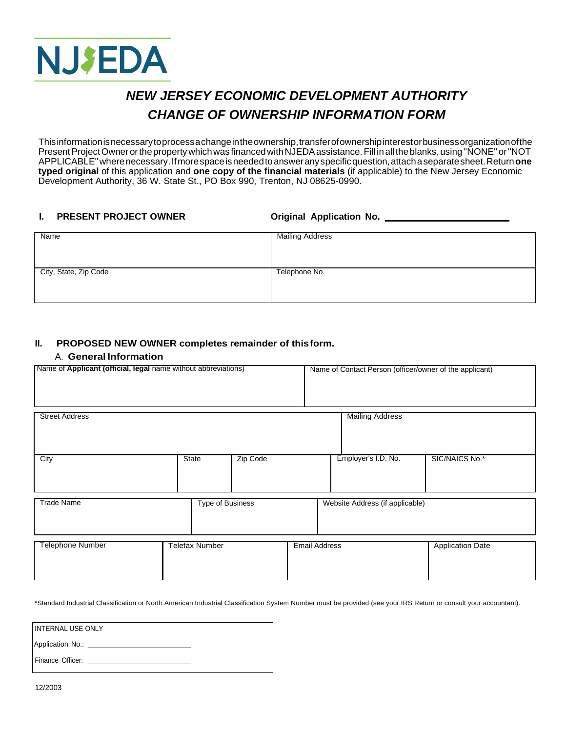

# *NEW JERSEY ECONOMIC DEVELOPMENT AUTHORITY CHANGE OF OWNERSHIP INFORMATION FORM*

Thisinformationisnecessarytoprocess a changeintheownership,transferofownershipinterestorbusinessorganizationofthe Present Project Owner or the property which was financed with NJEDA assistance. Fill in all the blanks, using "NONE" or "NOT APPLICABLE''wherenecessary.Ifmorespaceisneededtoansweranyspecificquestion,attach a separatesheet.Return**one typed original** of this application and **one copy of the financial materials** (if applicable) to the New Jersey Economic Development Authority, 36 W. State St., PO Box 990, Trenton, NJ 08625-0990.

## **I. PRESENT PROJECT OWNER Original Application No.**

| Name                  | <b>Mailing Address</b> |
|-----------------------|------------------------|
|                       |                        |
|                       |                        |
| City, State, Zip Code | Telephone No.          |
|                       |                        |
|                       |                        |

### **II. PROPOSED NEW OWNER completes remainder of this form.**

#### A. **General Information**

| Name of Applicant (official, legal name without abbreviations)           |                  |          |                         | Name of Contact Person (officer/owner of the applicant) |                |  |
|--------------------------------------------------------------------------|------------------|----------|-------------------------|---------------------------------------------------------|----------------|--|
|                                                                          |                  |          |                         |                                                         |                |  |
|                                                                          |                  |          |                         |                                                         |                |  |
|                                                                          |                  |          |                         |                                                         |                |  |
| <b>Street Address</b>                                                    |                  |          |                         | <b>Mailing Address</b>                                  |                |  |
|                                                                          |                  |          |                         |                                                         |                |  |
|                                                                          |                  |          |                         |                                                         |                |  |
| City                                                                     | <b>State</b>     | Zip Code |                         | Employer's I.D. No.                                     | SIC/NAICS No.* |  |
|                                                                          |                  |          |                         |                                                         |                |  |
|                                                                          |                  |          |                         |                                                         |                |  |
| <b>Trade Name</b>                                                        | Type of Business |          |                         | Website Address (if applicable)                         |                |  |
|                                                                          |                  |          |                         |                                                         |                |  |
|                                                                          |                  |          |                         |                                                         |                |  |
| <b>Email Address</b><br><b>Telephone Number</b><br><b>Telefax Number</b> |                  |          | <b>Application Date</b> |                                                         |                |  |
|                                                                          |                  |          |                         |                                                         |                |  |
|                                                                          |                  |          |                         |                                                         |                |  |
|                                                                          |                  |          |                         |                                                         |                |  |

\*Standard Industrial Classification or North American Industrial Classification System Number must be provided (see your IRS Return or consult your accountant).

INTERNAL USE ONLY

Application No.:

Finance Officer: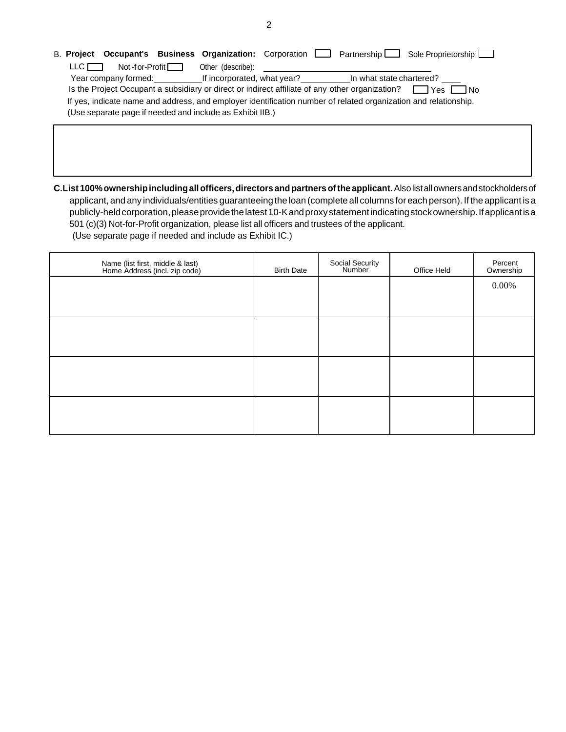| B. Project Occupant's Business Organization: Corporation   Partnership   Sole Proprietorship                         |
|----------------------------------------------------------------------------------------------------------------------|
| $Not$ -f or-Profit $\Box$<br>Other (describe):<br>LLC I                                                              |
| If incorporated, what year? In what state chartered?<br>Year company formed:                                         |
| Is the Project Occupant a subsidiary or direct or indirect affiliate of any other organization? $\Box$ Yes $\Box$ No |
| If yes, indicate name and address, and employer identification number of related organization and relationship.      |
| (Use separate page if needed and include as Exhibit IIB.)                                                            |
|                                                                                                                      |
|                                                                                                                      |

**C.List 100%ownershipincludingall officers,directors andpartners ofthe applicant.**Alsolistallownersandstockholdersof applicant, and any individuals/entities guaranteeing the loan (complete all columns foreach person). If the applicant is a publicly-held corporation, please provide the latest 10-K and proxy statement indicating stock ownership. If applicant is a 501 (c)(3) Not-for-Profit organization, please list all officers and trustees of the applicant. (Use separate page if needed and include as Exhibit IC.)

| Name (list first, middle & last)<br>Home Address (incl. zip code) | <b>Birth Date</b> | Social Security<br>Number | Office Held | Percent<br>Ownership |
|-------------------------------------------------------------------|-------------------|---------------------------|-------------|----------------------|
|                                                                   |                   |                           |             | $0.00\%$             |
|                                                                   |                   |                           |             |                      |
|                                                                   |                   |                           |             |                      |
|                                                                   |                   |                           |             |                      |
|                                                                   |                   |                           |             |                      |
|                                                                   |                   |                           |             |                      |
|                                                                   |                   |                           |             |                      |
|                                                                   |                   |                           |             |                      |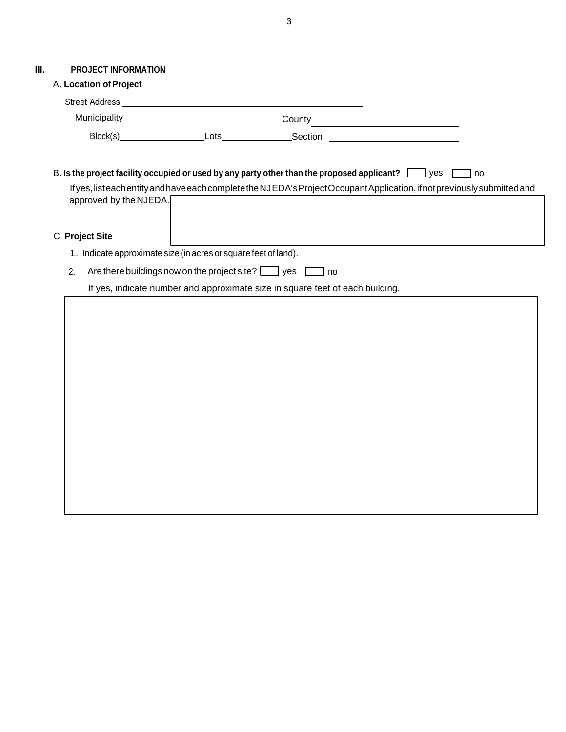## **III. PROJECT INFORMATION**

|                                                                     | A. Location of Project |                                   |                                                                                                                                                                                                                                          |
|---------------------------------------------------------------------|------------------------|-----------------------------------|------------------------------------------------------------------------------------------------------------------------------------------------------------------------------------------------------------------------------------------|
|                                                                     |                        |                                   |                                                                                                                                                                                                                                          |
|                                                                     |                        |                                   | County                                                                                                                                                                                                                                   |
|                                                                     |                        | Block(s) Lots <b>Lots</b> Section | <u> 1989 - Jan Stein Harry Harry Harry Harry Harry Harry Harry Harry Harry Harry Harry Harry Harry Harry Harry</u>                                                                                                                       |
|                                                                     | approved by the NJEDA. |                                   | B. Is the project facility occupied or used by any party other than the proposed applicant? $\Box$ yes<br>no<br>If yes, listeach entity and have each complete the NJEDA's Project Occupant Application, if not previously submitted and |
| C. Project Site                                                     |                        |                                   |                                                                                                                                                                                                                                          |
| 1. Indicate approximate size (in acres or square feet of land).     |                        |                                   |                                                                                                                                                                                                                                          |
| Are there buildings now on the project site? $\Box$ yes<br>2.<br>no |                        |                                   |                                                                                                                                                                                                                                          |
|                                                                     |                        |                                   | If yes, indicate number and approximate size in square feet of each building.                                                                                                                                                            |
|                                                                     |                        |                                   |                                                                                                                                                                                                                                          |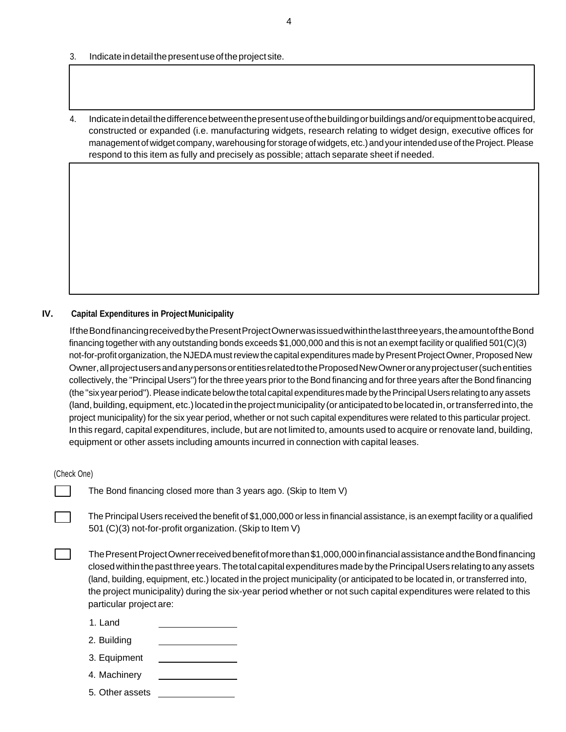- 3. Indicate in detail the present use of the project site.
- 4. Indicateindetailthedifferencebetweenthepresentuseofthebuildingorbuildingsand/orequipmenttobeacquired, constructed or expanded (i.e. manufacturing widgets, research relating to widget design, executive offices for management of widget company, warehousing for storage of widgets, etc.) and your intended use of the Project. Please respond to this item as fully and precisely as possible; attach separate sheet if needed.

#### **IV.** Capital Expenditures in Project Municipality

IftheBondfinancingreceivedbythePresentProjectOwnerwasissuedwithinthelastthreeyears,theamountoftheBond financing together with any outstanding bonds exceeds \$1,000,000 and this is not an exempt facility or qualified 501(C)(3) not-for-profit organization, the NJEDA must review the capital expenditures made by Present Project Owner, Proposed New Owner,allprojectusersandanypersonsorentitiesrelatedtotheProposedNewOwneroranyprojectuser(suchentities collectively, the ''Principal Users'') for the three years prior to the Bond financing and for three years after the Bond financing (the''six yearperiod'').Please indicatebelowthetotal capital expendituresmadeby thePrincipalUsers relatingtoany assets (land, building, equipment, etc.) located in the project municipality (or anticipated to be located in, or transferred into, the project municipality) for the six year period, whether or not such capital expenditures were related to this particular project. In this regard, capital expenditures, include, but are not limited to, amounts used to acquire or renovate land, building, equipment or other assets including amounts incurred in connection with capital leases.

#### (Check One)

The Bond financing closed more than 3 years ago. (Skip to Item V)

The Principal Users received the benefit of \$1,000,000 or less in financial assistance, is an exempt facility or a qualified 501 (C)(3) not-for-profit organization. (Skip to Item V)

The Present Project Owner received benefit of more than \$1,000,000 in financial assistance and the Bond financing closedwithinthepastthreeyears.Thetotalcapitalexpenditures madeby thePrincipalUsers relatingtoany assets (land, building, equipment, etc.) located in the project municipality (or anticipated to be located in, or transferred into, the project municipality) during the six-year period whether or not such capital expenditures were related to this particular project are:

- 1. Land
- 2. Building
- 3. Equipment
- 4. Machinery
- 5. Other assets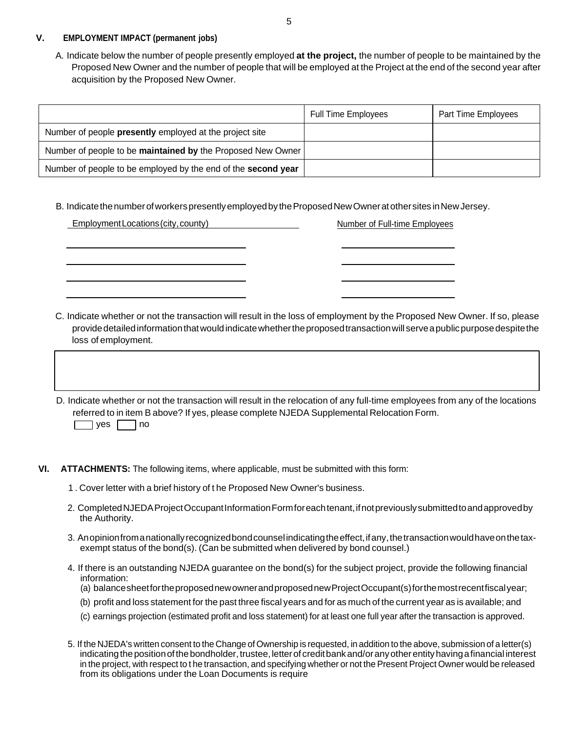#### **V. EMPLOYMENT IMPACT (permanent jobs)**

A. Indicate below the number of people presently employed **at the project,** the number of people to be maintained by the Proposed New Owner and the number of people that will be employed at the Project at the end of the second year after acquisition by the Proposed New Owner.

|                                                               | <b>Full Time Employees</b> | Part Time Employees |
|---------------------------------------------------------------|----------------------------|---------------------|
| Number of people presently employed at the project site       |                            |                     |
| Number of people to be maintained by the Proposed New Owner   |                            |                     |
| Number of people to be employed by the end of the second year |                            |                     |

B. Indicatethenumberofworkerspresentlyemployedby theProposedNewOwneratothersites inNewJersey.

| Employment Locations (city, county) | <b>Number of Full-time Employees</b>                                                                                                                                                                                                                   |
|-------------------------------------|--------------------------------------------------------------------------------------------------------------------------------------------------------------------------------------------------------------------------------------------------------|
|                                     |                                                                                                                                                                                                                                                        |
|                                     |                                                                                                                                                                                                                                                        |
| loss of employment.                 | C. Indicate whether or not the transaction will result in the loss of employment by the Proposed New Owner. If so, please<br>provide detailed information that would indicate whether the proposed transaction will serve a public purpose despite the |
| no<br><b>ves</b>                    | D. Indicate whether or not the transaction will result in the relocation of any full-time employees from any of the locations<br>referred to in item B above? If yes, please complete NJEDA Supplemental Relocation Form.                              |

- **VI. ATTACHMENTS:** The following items, where applicable, must be submitted with this form:
	- 1 . Cover letter with a brief history of t he Proposed New Owner's business.
	- 2. Completed NJEDA Project Occupant Information Form for each tenant, if not previously submitted to and approved by the Authority.
	- 3. Anopinionfrom a nationallyrecognizedbondcounselindicatingtheeffect,ifany,thetransactionwouldhaveonthetaxexempt status of the bond(s). (Can be submitted when delivered by bond counsel.)
	- 4. If there is an outstanding NJEDA guarantee on the bond(s) for the subject project, provide the following financial information:
		- (a) balancesheetfortheproposednewownerandproposednewProjectOccupant(s)forthemostrecentfiscalyear;
		- (b) profit and loss statement for the past three fiscal years and for as much of the current year as is available; and
		- (c) earnings projection (estimated profit and loss statement) for at least one full year after the transaction is approved.
	- 5. If the NJEDA's written consent to the Change of Ownership is requested, in addition to the above, submission of a letter(s) indicating the position of the bondholder, trustee, letter of credit bank and/or any other entity having a financial interest in the project, with respect to t he transaction, and specifying whether or not the Present Project Owner would be released from its obligations under the Loan Documents is require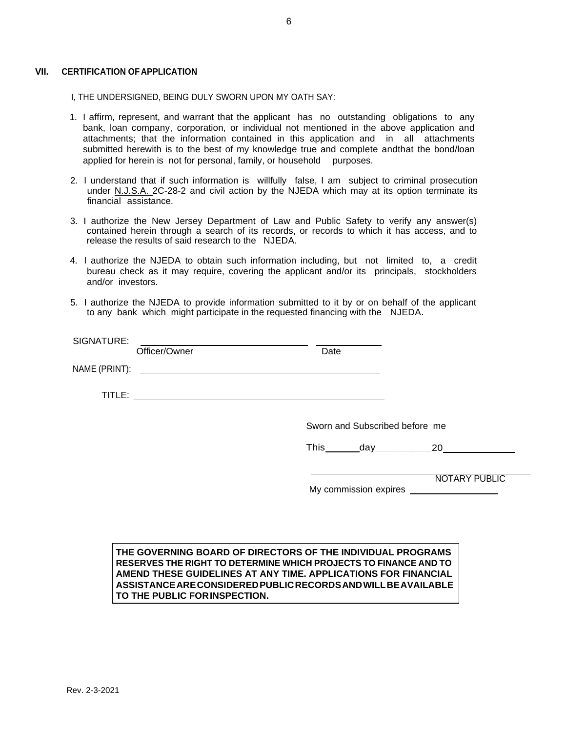#### **VII. CERTIFICATION OFAPPLICATION**

- I, THE UNDERSIGNED, BEING DULY SWORN UPON MY OATH SAY:
- 1. I affirm, represent, and warrant that the applicant has no outstanding obligations to any bank, loan company, corporation, or individual not mentioned in the above application and attachments; that the information contained in this application and in all attachments submitted herewith is to the best of my knowledge true and complete andthat the bond/loan applied for herein is not for personal, family, or household purposes.
- 2. I understand that if such information is willfully false, I am subject to criminal prosecution under N.J.S.A. 2C-28-2 and civil action by the NJEDA which may at its option terminate its financial assistance.
- 3. I authorize the New Jersey Department of Law and Public Safety to verify any answer(s) contained herein through a search of its records, or records to which it has access, and to release the results of said research to the NJEDA.
- 4. I authorize the NJEDA to obtain such information including, but not limited to, a credit bureau check as it may require, covering the applicant and/or its principals, stockholders and/or investors.
- 5. I authorize the NJEDA to provide information submitted to it by or on behalf of the applicant to any bank which might participate in the requested financing with the NJEDA.

| SIGNATURE: | Officer/Owner | Date |                                |                      |
|------------|---------------|------|--------------------------------|----------------------|
|            |               |      |                                |                      |
|            |               |      |                                |                      |
|            |               |      | Sworn and Subscribed before me |                      |
|            |               |      |                                |                      |
|            |               |      |                                | <b>NOTARY PUBLIC</b> |

#### **THE GOVERNING BOARD OF DIRECTORS OF THE INDIVIDUAL PROGRAMS RESERVES THE RIGHT TO DETERMINE WHICH PROJECTS TO FINANCE AND TO AMEND THESE GUIDELINES AT ANY TIME. APPLICATIONS FOR FINANCIAL ASSISTANCEARECONSIDEREDPUBLICRECORDSANDWILLBEAVAILABLE TO THE PUBLIC FORINSPECTION.**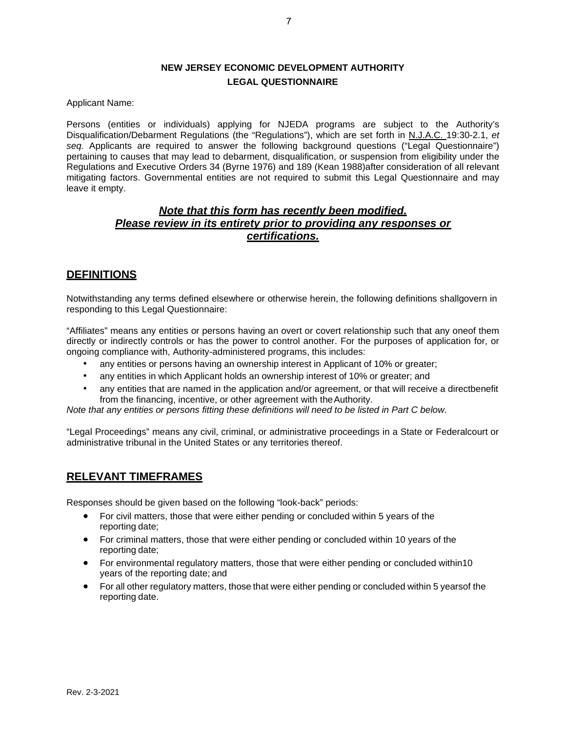# **NEW JERSEY ECONOMIC DEVELOPMENT AUTHORITY LEGAL QUESTIONNAIRE**

Applicant Name:

Persons (entities or individuals) applying for NJEDA programs are subject to the Authority's Disqualification/Debarment Regulations (the "Regulations"), which are set forth in N.J.A.C. 19:30-2.1, *et seq.* Applicants are required to answer the following background questions ("Legal Questionnaire") pertaining to causes that may lead to debarment, disqualification, or suspension from eligibility under the Regulations and Executive Orders 34 (Byrne 1976) and 189 (Kean 1988)after consideration of all relevant mitigating factors. Governmental entities are not required to submit this Legal Questionnaire and may leave it empty.

# *Note that this form has recently been modified. Please review in its entirety prior to providing any responses or certifications.*

# **DEFINITIONS**

Notwithstanding any terms defined elsewhere or otherwise herein, the following definitions shallgovern in responding to this Legal Questionnaire:

"Affiliates" means any entities or persons having an overt or covert relationship such that any oneof them directly or indirectly controls or has the power to control another. For the purposes of application for, or ongoing compliance with, Authority-administered programs, this includes:

- any entities or persons having an ownership interest in Applicant of 10% or greater;
- any entities in which Applicant holds an ownership interest of 10% or greater; and
- any entities that are named in the application and/or agreement, or that will receive a directbenefit from the financing, incentive, or other agreement with theAuthority.

*Note that any entities or persons fitting these definitions will need to be listed in Part C below.*

"Legal Proceedings" means any civil, criminal, or administrative proceedings in a State or Federalcourt or administrative tribunal in the United States or any territories thereof.

## **RELEVANT TIMEFRAMES**

Responses should be given based on the following "look-back" periods:

- For civil matters, those that were either pending or concluded within 5 years of the reporting date;
- For criminal matters, those that were either pending or concluded within 10 years of the reporting date;
- For environmental regulatory matters, those that were either pending or concluded within10 years of the reporting date; and
- For all other regulatory matters, those that were either pending or concluded within 5 years of the reporting date.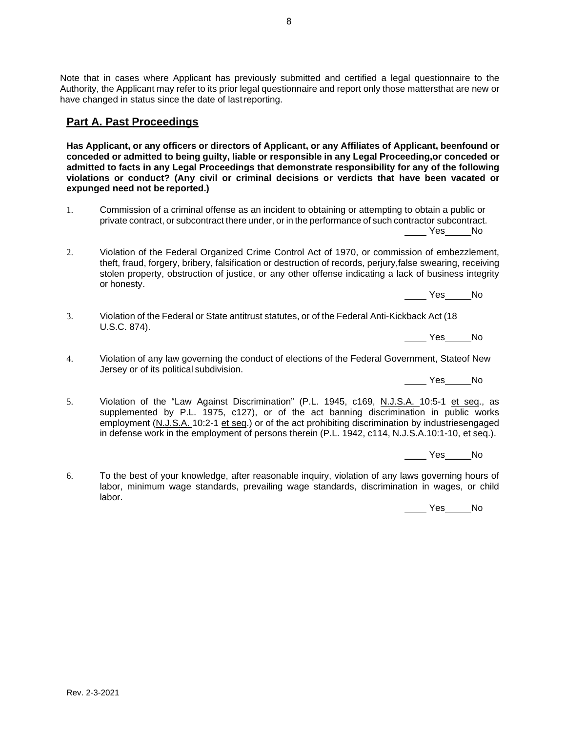8

Note that in cases where Applicant has previously submitted and certified a legal questionnaire to the Authority, the Applicant may refer to its prior legal questionnaire and report only those mattersthat are new or have changed in status since the date of lastreporting.

# **Part A. Past Proceedings**

**Has Applicant, or any officers or directors of Applicant, or any Affiliates of Applicant, beenfound or conceded or admitted to being guilty, liable or responsible in any Legal Proceeding,or conceded or admitted to facts in any Legal Proceedings that demonstrate responsibility for any of the following violations or conduct? (Any civil or criminal decisions or verdicts that have been vacated or expunged need not be reported.)**

- 1. Commission of a criminal offense as an incident to obtaining or attempting to obtain a public or private contract, or subcontract there under, or in the performance of such contractor subcontract. Yes No
- 2. Violation of the Federal Organized Crime Control Act of 1970, or commission of embezzlement, theft, fraud, forgery, bribery, falsification or destruction of records, perjury,false swearing, receiving stolen property, obstruction of justice, or any other offense indicating a lack of business integrity or honesty.

Yes No

3. Violation of the Federal or State antitrust statutes, or of the Federal Anti-Kickback Act (18 U.S.C. 874).

Yes No

4. Violation of any law governing the conduct of elections of the Federal Government, Stateof New Jersey or of its political subdivision.

Yes No

5. Violation of the "Law Against Discrimination" (P.L. 1945, c169, N.J.S.A. 10:5-1 et seq., as supplemented by P.L. 1975, c127), or of the act banning discrimination in public works employment (N.J.S.A. 10:2-1 et seq.) or of the act prohibiting discrimination by industriesengaged in defense work in the employment of persons therein (P.L. 1942, c114, N.J.S.A.10:1-10, et seq.).

Yes No

6. To the best of your knowledge, after reasonable inquiry, violation of any laws governing hours of labor, minimum wage standards, prevailing wage standards, discrimination in wages, or child labor.

No Nes No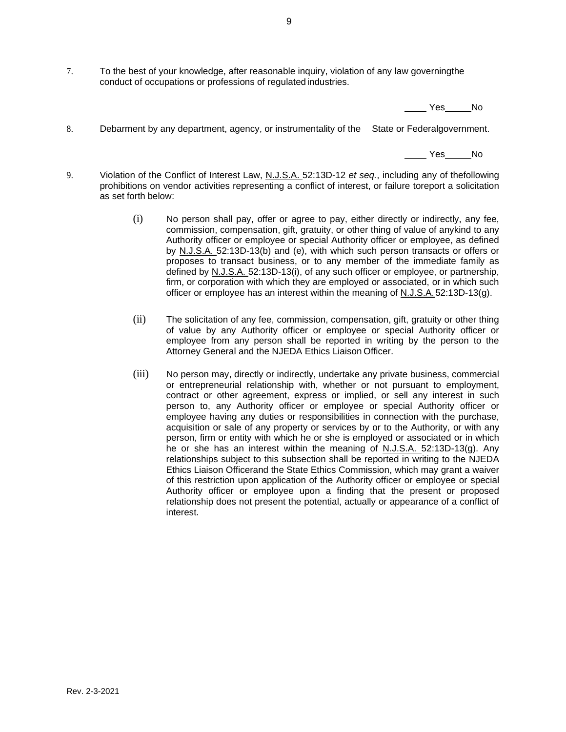7. To the best of your knowledge, after reasonable inquiry, violation of any law governingthe conduct of occupations or professions of regulatedindustries.

Yes No

8. Debarment by any department, agency, or instrumentality of the State or Federalgovernment.

Yes No

- 9. Violation of the Conflict of Interest Law, N.J.S.A. 52:13D-12 *et seq.*, including any of thefollowing prohibitions on vendor activities representing a conflict of interest, or failure toreport a solicitation as set forth below:
	- (i) No person shall pay, offer or agree to pay, either directly or indirectly, any fee, commission, compensation, gift, gratuity, or other thing of value of anykind to any Authority officer or employee or special Authority officer or employee, as defined by N.J.S.A. 52:13D-13(b) and (e), with which such person transacts or offers or proposes to transact business, or to any member of the immediate family as defined by N.J.S.A. 52:13D-13(i), of any such officer or employee, or partnership, firm, or corporation with which they are employed or associated, or in which such officer or employee has an interest within the meaning of N.J.S.A.52:13D-13(g).
	- (ii) The solicitation of any fee, commission, compensation, gift, gratuity or other thing of value by any Authority officer or employee or special Authority officer or employee from any person shall be reported in writing by the person to the Attorney General and the NJEDA Ethics Liaison Officer.
	- (iii) No person may, directly or indirectly, undertake any private business, commercial or entrepreneurial relationship with, whether or not pursuant to employment, contract or other agreement, express or implied, or sell any interest in such person to, any Authority officer or employee or special Authority officer or employee having any duties or responsibilities in connection with the purchase, acquisition or sale of any property or services by or to the Authority, or with any person, firm or entity with which he or she is employed or associated or in which he or she has an interest within the meaning of N.J.S.A. 52:13D-13(g). Any relationships subject to this subsection shall be reported in writing to the NJEDA Ethics Liaison Officerand the State Ethics Commission, which may grant a waiver of this restriction upon application of the Authority officer or employee or special Authority officer or employee upon a finding that the present or proposed relationship does not present the potential, actually or appearance of a conflict of interest.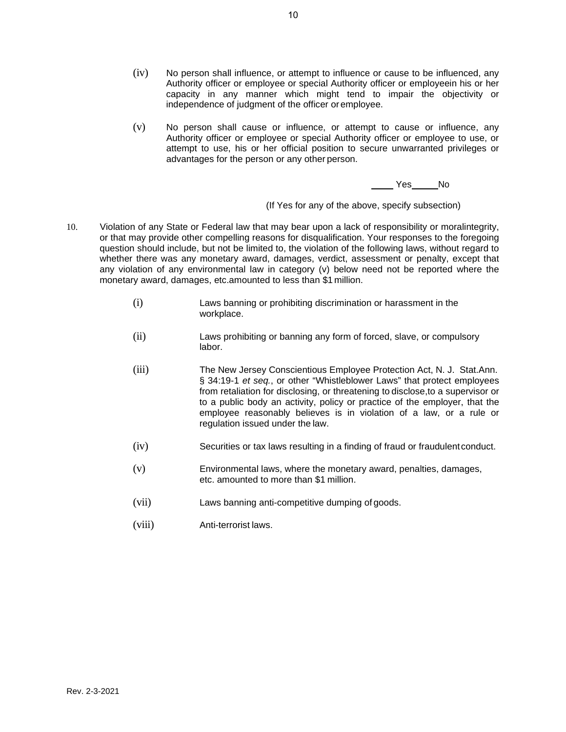- (iv) No person shall influence, or attempt to influence or cause to be influenced, any Authority officer or employee or special Authority officer or employeein his or her capacity in any manner which might tend to impair the objectivity or independence of judgment of the officer or employee.
- (v) No person shall cause or influence, or attempt to cause or influence, any Authority officer or employee or special Authority officer or employee to use, or attempt to use, his or her official position to secure unwarranted privileges or advantages for the person or any other person.

Yes No

(If Yes for any of the above, specify subsection)

- 10. Violation of any State or Federal law that may bear upon a lack of responsibility or moralintegrity, or that may provide other compelling reasons for disqualification. Your responses to the foregoing question should include, but not be limited to, the violation of the following laws, without regard to whether there was any monetary award, damages, verdict, assessment or penalty, except that any violation of any environmental law in category (v) below need not be reported where the monetary award, damages, etc.amounted to less than \$1 million.
	- (i) Laws banning or prohibiting discrimination or harassment in the workplace.
	- (ii) Laws prohibiting or banning any form of forced, slave, or compulsory labor.
	- (iii) The New Jersey Conscientious Employee Protection Act, N. J. Stat.Ann. § 34:19-1 *et seq.*, or other "Whistleblower Laws" that protect employees from retaliation for disclosing, or threatening to disclose,to a supervisor or to a public body an activity, policy or practice of the employer, that the employee reasonably believes is in violation of a law, or a rule or regulation issued under the law.
	- (iv) Securities or tax laws resulting in a finding of fraud or fraudulentconduct.
	- (v) Environmental laws, where the monetary award, penalties, damages, etc. amounted to more than \$1 million.
	- (vii) Laws banning anti-competitive dumping of goods.
	- (viii) Anti-terrorist laws.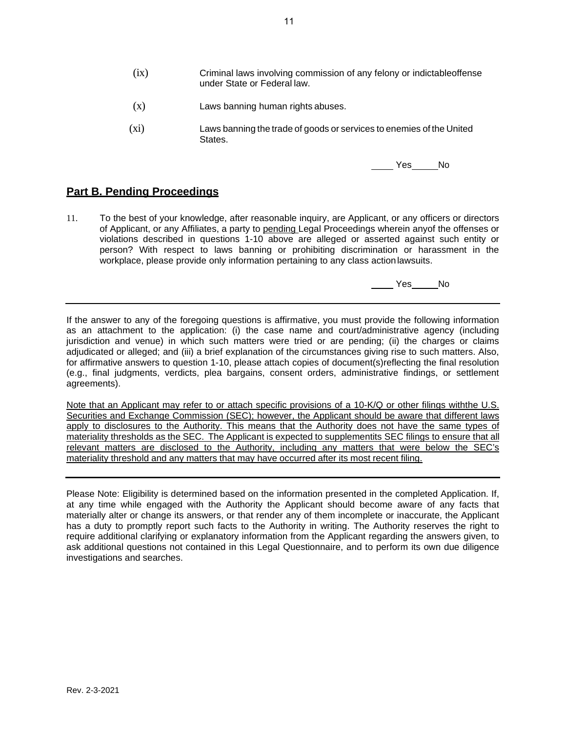- (ix) Criminal laws involving commission of any felony or indictableoffense under State or Federal law.
- (x) Laws banning human rights abuses.
- (xi) Laws banning the trade of goods or services to enemies of the United States.

Yes No

## **Part B. Pending Proceedings**

11. To the best of your knowledge, after reasonable inquiry, are Applicant, or any officers or directors of Applicant, or any Affiliates, a party to pending Legal Proceedings wherein anyof the offenses or violations described in questions 1-10 above are alleged or asserted against such entity or person? With respect to laws banning or prohibiting discrimination or harassment in the workplace, please provide only information pertaining to any class actionlawsuits.

No Nes

If the answer to any of the foregoing questions is affirmative, you must provide the following information as an attachment to the application: (i) the case name and court/administrative agency (including jurisdiction and venue) in which such matters were tried or are pending; (ii) the charges or claims adjudicated or alleged; and (iii) a brief explanation of the circumstances giving rise to such matters. Also, for affirmative answers to question 1-10, please attach copies of document(s)reflecting the final resolution (e.g., final judgments, verdicts, plea bargains, consent orders, administrative findings, or settlement agreements).

Note that an Applicant may refer to or attach specific provisions of a 10-K/Q or other filings withthe U.S. Securities and Exchange Commission (SEC); however, the Applicant should be aware that different laws apply to disclosures to the Authority. This means that the Authority does not have the same types of materiality thresholds as the SEC. The Applicant is expected to supplementits SEC filings to ensure that all relevant matters are disclosed to the Authority, including any matters that were below the SEC's materiality threshold and any matters that may have occurred after its most recent filing.

Please Note: Eligibility is determined based on the information presented in the completed Application. If, at any time while engaged with the Authority the Applicant should become aware of any facts that materially alter or change its answers, or that render any of them incomplete or inaccurate, the Applicant has a duty to promptly report such facts to the Authority in writing. The Authority reserves the right to require additional clarifying or explanatory information from the Applicant regarding the answers given, to ask additional questions not contained in this Legal Questionnaire, and to perform its own due diligence investigations and searches.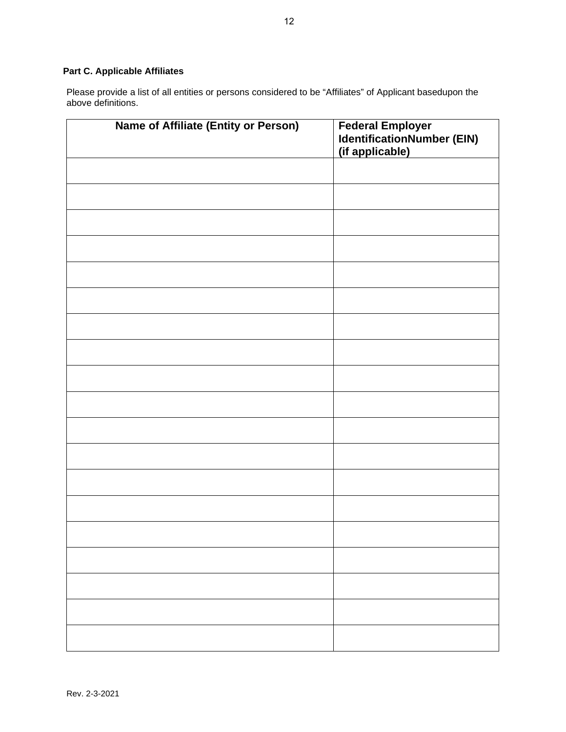## **Part C. Applicable Affiliates**

Please provide a list of all entities or persons considered to be "Affiliates" of Applicant basedupon the above definitions.

| <b>Name of Affiliate (Entity or Person)</b> | Federal Employer<br>IdentificationNumber (EIN)<br>(if applicable) |
|---------------------------------------------|-------------------------------------------------------------------|
|                                             |                                                                   |
|                                             |                                                                   |
|                                             |                                                                   |
|                                             |                                                                   |
|                                             |                                                                   |
|                                             |                                                                   |
|                                             |                                                                   |
|                                             |                                                                   |
|                                             |                                                                   |
|                                             |                                                                   |
|                                             |                                                                   |
|                                             |                                                                   |
|                                             |                                                                   |
|                                             |                                                                   |
|                                             |                                                                   |
|                                             |                                                                   |
|                                             |                                                                   |
|                                             |                                                                   |
|                                             |                                                                   |